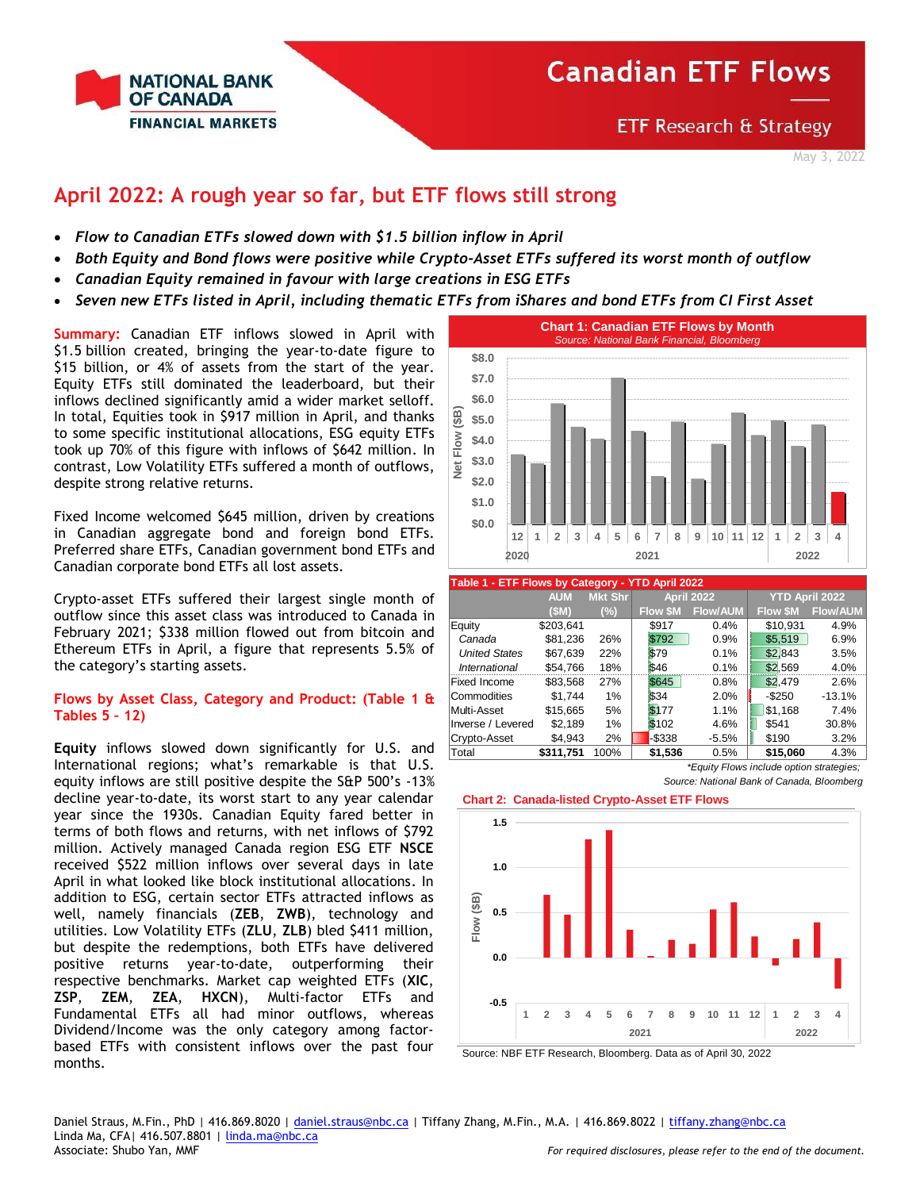

**ETF Research & Strategy** 

May 3, 2022

## **April 2022: A rough year so far, but ETF flows still strong**

- *Flow to Canadian ETFs slowed down with \$1.5 billion inflow in April*
- *Both Equity and Bond flows were positive while Crypto-Asset ETFs suffered its worst month of outflow*
- *Canadian Equity remained in favour with large creations in ESG ETFs*
- *Seven new ETFs listed in April, including thematic ETFs from iShares and bond ETFs from CI First Asset*

**Summary:** Canadian ETF inflows slowed in April with \$1.5 billion created, bringing the year-to-date figure to \$15 billion, or 4% of assets from the start of the year. Equity ETFs still dominated the leaderboard, but their inflows declined significantly amid a wider market selloff. In total, Equities took in \$917 million in April, and thanks to some specific institutional allocations, ESG equity ETFs took up 70% of this figure with inflows of \$642 million. In contrast, Low Volatility ETFs suffered a month of outflows, despite strong relative returns.

Fixed Income welcomed \$645 million, driven by creations in Canadian aggregate bond and foreign bond ETFs. Preferred share ETFs, Canadian government bond ETFs and Canadian corporate bond ETFs all lost assets.

Crypto-asset ETFs suffered their largest single month of outflow since this asset class was introduced to Canada in February 2021; \$338 million flowed out from bitcoin and Ethereum ETFs in April, a figure that represents 5.5% of the category's starting assets.

### **Flows by Asset Class, Category and Product: (Table 1 & Tables 5 – 12)**

**Equity** inflows slowed down significantly for U.S. and International regions; what's remarkable is that U.S. equity inflows are still positive despite the S&P 500's -13% decline year-to-date, its worst start to any year calendar year since the 1930s. Canadian Equity fared better in terms of both flows and returns, with net inflows of \$792 million. Actively managed Canada region ESG ETF **NSCE**  received \$522 million inflows over several days in late April in what looked like block institutional allocations. In addition to ESG, certain sector ETFs attracted inflows as well, namely financials (**ZEB**, **ZWB**), technology and utilities. Low Volatility ETFs (**ZLU**, **ZLB**) bled \$411 million, but despite the redemptions, both ETFs have delivered positive returns year-to-date, outperforming their respective benchmarks. Market cap weighted ETFs (**XIC**, **ZSP**, **ZEM**, **ZEA**, **HXCN**), Multi-factor ETFs and Fundamental ETFs all had minor outflows, whereas Dividend/Income was the only category among factorbased ETFs with consistent inflows over the past four months.



| Table 1 - ETF Flows by Category - YTD April 2022 |            |                |                |                 |                       |                 |  |  |  |  |  |  |
|--------------------------------------------------|------------|----------------|----------------|-----------------|-----------------------|-----------------|--|--|--|--|--|--|
|                                                  | <b>AUM</b> | <b>Mkt Shr</b> |                | April 2022      | <b>YTD April 2022</b> |                 |  |  |  |  |  |  |
|                                                  | (SM)       | (%)            | <b>Flow SM</b> | <b>Flow/AUM</b> | <b>Flow SM</b>        | <b>Flow/AUM</b> |  |  |  |  |  |  |
| Equity                                           | \$203,641  |                | \$917          | 0.4%            | \$10,931              | 4.9%            |  |  |  |  |  |  |
| Canada                                           | \$81,236   | 26%            | \$792          | 0.9%            | \$5,519               | 6.9%            |  |  |  |  |  |  |
| <b>United States</b>                             | \$67,639   | 22%            | \$79           | 0.1%            | \$2.843               | 3.5%            |  |  |  |  |  |  |
| International                                    | \$54,766   | 18%            | \$46           | 0.1%            | \$2,569               | 4.0%            |  |  |  |  |  |  |
| Fixed Income                                     | \$83,568   | 27%            | \$645          | 0.8%            | \$2,479               | 2.6%            |  |  |  |  |  |  |
| Commodities                                      | \$1.744    | 1%             | \$34           | 2.0%            | $-$250$               | $-13.1%$        |  |  |  |  |  |  |
| Multi-Asset                                      | \$15,665   | 5%             | \$177          | 1.1%            | \$1,168               | 7.4%            |  |  |  |  |  |  |
| Inverse / Levered                                | \$2,189    | 1%             | \$102          | 4.6%            | \$541                 | 30.8%           |  |  |  |  |  |  |
| Crypto-Asset                                     | \$4,943    | 2%             | -\$338         | $-5.5%$         | \$190                 | 3.2%            |  |  |  |  |  |  |
| Total                                            | \$311,751  | 100%           | \$1,536        | 0.5%            | \$15,060              | 4.3%            |  |  |  |  |  |  |

*\*Equity Flows include option strategies; Source: National Bank of Canada, Bloomberg*





Source: NBF ETF Research, Bloomberg. Data as of April 30, 2022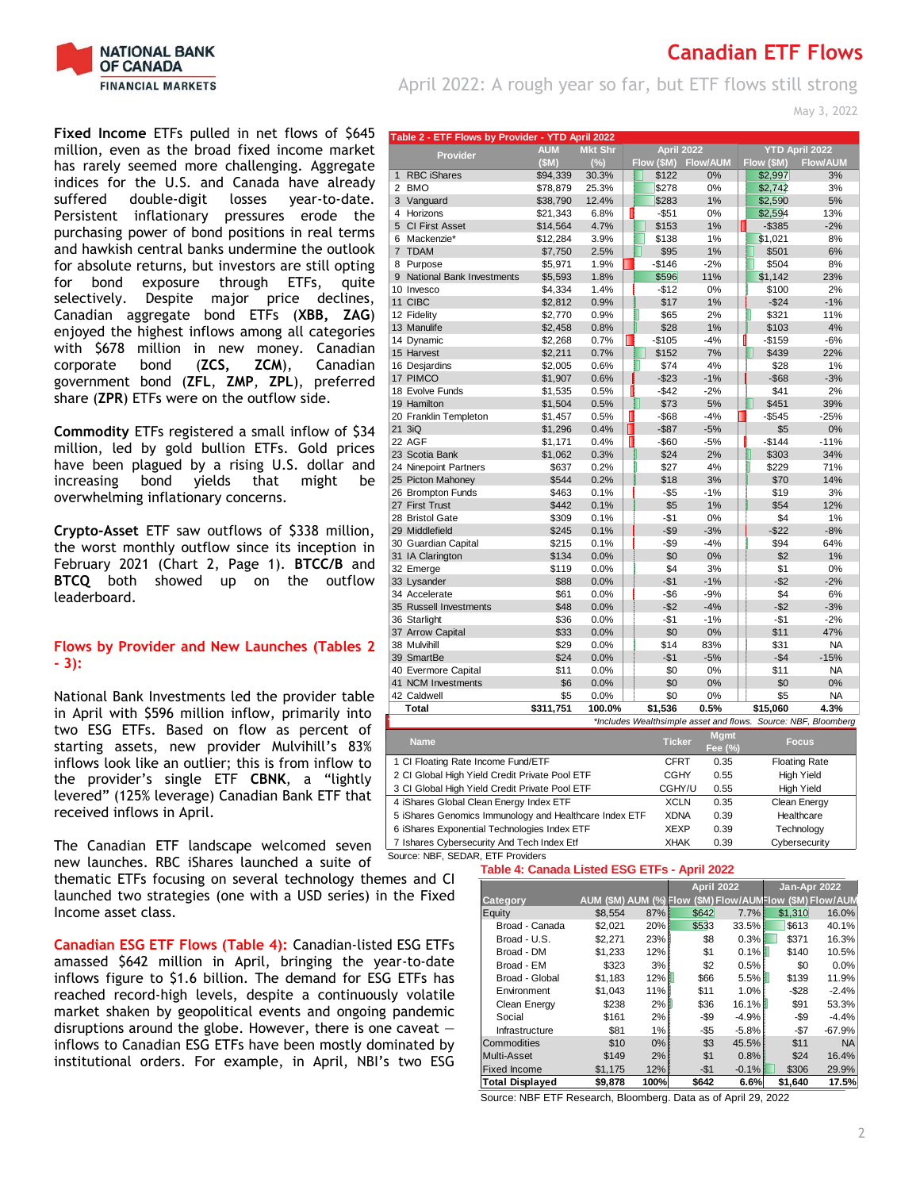

April 2022: A rough year so far, but ETF flows still strong

May 3, 2022

**Fixed Income** ETFs pulled in net flows of \$645 million, even as the broad fixed income market has rarely seemed more challenging. Aggregate indices for the U.S. and Canada have already<br>suffered double-digit losses year-to-date. suffered double-digit losses Persistent inflationary pressures erode the purchasing power of bond positions in real terms and hawkish central banks undermine the outlook for absolute returns, but investors are still opting for bond exposure through ETFs, quite selectively. Despite major price declines, Canadian aggregate bond ETFs (**XBB, ZAG**) enjoyed the highest inflows among all categories with \$678 million in new money. Canadian corporate bond (**ZCS, ZCM**), Canadian government bond (**ZFL**, **ZMP**, **ZPL**), preferred share (**ZPR**) ETFs were on the outflow side.

**Commodity** ETFs registered a small inflow of \$34 million, led by gold bullion ETFs. Gold prices have been plagued by a rising U.S. dollar and increasing bond yields that might be overwhelming inflationary concerns.

**Crypto-Asset** ETF saw outflows of \$338 million, the worst monthly outflow since its inception in February 2021 (Chart 2, Page 1). **BTCC/B** and **BTCQ** both showed up on the outflow leaderboard.

### **Flows by Provider and New Launches (Tables 2 - 3):**

National Bank Investments led the provider table in April with \$596 million inflow, primarily into two ESG ETFs. Based on flow as percent of starting assets, new provider Mulvihill's 83% inflows look like an outlier; this is from inflow to the provider's single ETF **CBNK**, a "lightly levered" (125% leverage) Canadian Bank ETF that received inflows in April.

The Canadian ETF landscape welcomed seven new launches. RBC iShares launched a suite of

thematic ETFs focusing on several technology themes and CI launched two strategies (one with a USD series) in the Fixed Income asset class.

**Canadian ESG ETF Flows (Table 4):** Canadian-listed ESG ETFs amassed \$642 million in April, bringing the year-to-date inflows figure to \$1.6 billion. The demand for ESG ETFs has reached record-high levels, despite a continuously volatile market shaken by geopolitical events and ongoing pandemic disruptions around the globe. However, there is one caveat  $$ inflows to Canadian ESG ETFs have been mostly dominated by institutional orders. For example, in April, NBI's two ESG

| Table 2 - ETF Flows by Provider - YTD April 2022       |               |                |    |               |                        |            |                                                                |
|--------------------------------------------------------|---------------|----------------|----|---------------|------------------------|------------|----------------------------------------------------------------|
| <b>Provider</b>                                        | <b>AUM</b>    | <b>Mkt Shr</b> |    | April 2022    |                        |            | <b>YTD April 2022</b>                                          |
|                                                        | (SM)          | (%)            |    | Flow (\$M)    | <b>Flow/AUM</b>        | Flow (\$M) | <b>Flow/AUM</b>                                                |
| <b>RBC</b> iShares<br>$\mathbf{1}$                     | \$94,339      | 30.3%          |    | \$122         | 0%                     | \$2,997    | 3%                                                             |
| 2<br><b>BMO</b>                                        | \$78,879      | 25.3%          |    | \$278         | 0%                     | \$2,742    | 3%                                                             |
| 3 Vanguard                                             | \$38,790      | 12.4%          |    | \$283         | 1%                     | \$2,590    | 5%                                                             |
| 4<br>Horizons                                          | \$21,343      | 6.8%           |    | $-$ \$51      | 0%                     | \$2,594    | 13%                                                            |
| 5<br><b>CI First Asset</b>                             | \$14,564      | 4.7%           |    | \$153         | 1%                     | $- $385$   | $-2%$                                                          |
| 6 Mackenzie*                                           | \$12,284      | 3.9%           |    | \$138         | 1%                     | \$1,021    | 8%                                                             |
| $\overline{7}$<br><b>TDAM</b>                          | \$7,750       | 2.5%           |    | \$95          | 1%                     | \$501      | 6%                                                             |
| Purpose<br>8                                           | \$5,971       | 1.9%           |    | $-$146$       | $-2%$                  | \$504      | 8%                                                             |
| <b>National Bank Investments</b><br>9                  | \$5,593       | 1.8%           |    | \$596         | 11%                    | \$1,142    | 23%                                                            |
| 10 Invesco                                             | \$4,334       | 1.4%           |    | $-$12$        | 0%                     | \$100      | 2%                                                             |
| 11 CIBC                                                | \$2,812       | 0.9%           |    | \$17          | 1%                     | $-$24$     | $-1%$                                                          |
| 12 Fidelity                                            | \$2,770       | 0.9%           |    | \$65          | 2%                     | \$321      | 11%                                                            |
| 13 Manulife                                            | \$2,458       | 0.8%           |    | \$28          | 1%                     | \$103      | 4%                                                             |
| 14 Dynamic                                             | \$2,268       | 0.7%           | П  | $-$105$       | $-4%$                  | $-$159$    | $-6%$                                                          |
| 15 Harvest                                             | \$2,211       | 0.7%           |    | \$152         | 7%                     | \$439      | 22%                                                            |
| 16 Desjardins                                          | \$2,005       | 0.6%           |    | \$74          | 4%                     | \$28       | 1%                                                             |
| 17 PIMCO                                               | \$1,907       | 0.6%           |    | $-$23$        | $-1%$                  | $-$ \$68   | $-3%$                                                          |
| 18 Evolve Funds                                        | \$1,535       | 0.5%           |    | $-$ \$42      | $-2%$                  | \$41       | 2%                                                             |
| 19 Hamilton                                            | \$1,504       | 0.5%           |    | \$73          | 5%                     | \$451      | 39%                                                            |
| 20 Franklin Templeton                                  | \$1,457       | 0.5%           | Ш  | $-$ \$68      | $-4%$                  | $-$545$    | $-25%$                                                         |
| 21 3iQ                                                 | \$1,296       | 0.4%           | П  | $-$ \$87      | $-5%$                  | \$5        | 0%                                                             |
| 22 AGF                                                 | \$1,171       | 0.4%           | II | $-$60$        | $-5%$                  | $-$144$    | $-11%$                                                         |
| 23 Scotia Bank                                         | \$1,062       | 0.3%           |    | \$24          | 2%                     | \$303      | 34%                                                            |
| 24 Ninepoint Partners                                  | \$637         | 0.2%           |    | \$27          | 4%                     | \$229      | 71%                                                            |
| 25 Picton Mahoney                                      | \$544         | 0.2%           |    | \$18          | 3%                     | \$70       | 14%                                                            |
| 26 Brompton Funds                                      | \$463         | 0.1%           |    | $-$ \$5       | $-1%$                  | \$19       | 3%                                                             |
| 27 First Trust                                         | \$442         | 0.1%           |    | \$5           | 1%                     | \$54       | 12%                                                            |
| 28 Bristol Gate                                        | \$309         | 0.1%           |    | $-$1$         | 0%                     | \$4        | 1%                                                             |
| 29 Middlefield                                         | \$245         | 0.1%           |    | $- $9$        | $-3%$                  | $-$22$     | $-8%$                                                          |
| 30 Guardian Capital                                    | \$215         | 0.1%           |    | $-$ \$9       | $-4%$                  | \$94       | 64%                                                            |
|                                                        | \$134         | 0.0%           |    | \$0           | 0%                     | \$2        | 1%                                                             |
| 31 IA Clarington                                       |               |                |    |               |                        |            |                                                                |
| 32 Emerge                                              | \$119<br>\$88 | 0.0%           |    | \$4<br>$-$1$  | 3%<br>$-1%$            | \$1        | 0%<br>$-2%$                                                    |
| 33 Lysander                                            |               | 0.0%           |    |               |                        | $-$ \$2    |                                                                |
| 34 Accelerate                                          | \$61          | 0.0%           |    | $-$ \$6       | $-9%$<br>$-4%$         | \$4        | 6%                                                             |
| 35 Russell Investments                                 | \$48          | 0.0%           |    | $-$ \$2       |                        | $-$ \$2    | $-3%$                                                          |
| 36 Starlight                                           | \$36          | 0.0%           |    | $-$1$         | $-1%$                  | $-$1$      | $-2%$                                                          |
| 37 Arrow Capital                                       | \$33          | 0.0%           |    | \$0           | 0%                     | \$11       | 47%                                                            |
| 38 Mulvihill                                           | \$29          | 0.0%           |    | \$14          | 83%                    | \$31       | ΝA                                                             |
| 39 SmartBe                                             | \$24          | 0.0%           |    | $-$1$         | $-5%$                  | $-$4$      | $-15%$                                                         |
| 40 Evermore Capital                                    | \$11          | 0.0%           |    | \$0           | 0%                     | \$11       | ΝA                                                             |
| 41 NCM Investments                                     | \$6           | 0.0%           |    | \$0           | 0%                     | \$0        | 0%                                                             |
| 42 Caldwell                                            | \$5           | 0.0%           |    | \$0           | 0%                     | \$5        | <b>NA</b>                                                      |
| <b>Total</b>                                           | \$311,751     | 100.0%         |    | \$1,536       | 0.5%                   | \$15,060   | 4.3%                                                           |
|                                                        |               |                |    |               |                        |            | *Includes Wealthsimple asset and flows. Source: NBF, Bloomberg |
| <b>Name</b>                                            |               |                |    | <b>Ticker</b> | <b>Mgmt</b><br>Fee (%) |            | <b>Focus</b>                                                   |
| 1 CI Floating Rate Income Fund/ETF                     |               |                |    | <b>CFRT</b>   | 0.35                   |            | <b>Floating Rate</b>                                           |
| 2 CI Global High Yield Credit Private Pool ETF         |               |                |    | <b>CGHY</b>   | 0.55                   |            | High Yield                                                     |
| 3 CI Global High Yield Credit Private Pool ETF         |               |                |    | CGHY/U        | 0.55                   |            | <b>High Yield</b>                                              |
| 4 iShares Global Clean Energy Index ETF                |               |                |    | <b>XCLN</b>   | 0.35                   |            | Clean Energy                                                   |
| 5 iShares Genomics Immunology and Healthcare Index ETF |               |                |    | <b>XDNA</b>   | 0.39                   |            | Healthcare                                                     |

7 Ishares Cybersecurity And Tech Index Etf XHAK 0.39 Cybersecurity Source: NBF, SEDAR, ETF Providers

### **Table 4: Canada Listed ESG ETFs - April 2022**

6 iShares Exponential Technologies Index ETF XEXP 0.39 Technology

|                        |                        |      |         | <b>April 2022</b> | Jan-Apr 2022                      |           |
|------------------------|------------------------|------|---------|-------------------|-----------------------------------|-----------|
| Cate gory              | AUM (\$M) AUM (%) Flow |      |         |                   | (\$M) Flow/AUNFlow (\$M) Flow/AUM |           |
| Equity                 | \$8,554                | 87%  | \$642   | 7.7%              | \$1.310                           | 16.0%     |
| Broad - Canada         | \$2,021                | 20%  | \$533   | 33.5%             | \$613                             | 40.1%     |
| Broad - U.S.           | \$2,271                | 23%  | \$8     | 0.3%              | \$371                             | 16.3%     |
| Broad - DM             | \$1,233                | 12%  | \$1     | 0.1%              | \$140                             | 10.5%     |
| Broad - EM             | \$323                  | 3%   | \$2     | 0.5%              | \$0                               | 0.0%      |
| Broad - Global         | \$1,183                | 12%1 | \$66    | 5.5%              | \$139                             | 11.9%     |
| Environment            | \$1.043                | 11%  | \$11    | 1.0%              | $-$28$                            | $-2.4%$   |
| Clean Energy           | \$238                  | 2%   | \$36    | 16.1%             | \$91                              | 53.3%     |
| Social                 | \$161                  | 2%   | $-$ \$9 | $-4.9%$           | -\$9                              | $-4.4%$   |
| Infrastructure         | \$81                   | 1%   | $-$ \$5 | $-5.8%$           | $-$7$                             | $-67.9%$  |
| Commodities            | \$10                   | 0%   | \$3     | 45.5%             | \$11                              | <b>NA</b> |
| Multi-Asset            | \$149                  | 2%   | \$1     | 0.8%              | \$24                              | 16.4%     |
| <b>Fixed Income</b>    | \$1,175                | 12%  | $-$1$   | $-0.1%$           | \$306                             | 29.9%     |
| <b>Total Displayed</b> | \$9,878                | 100% | \$642   | 6.6%              | \$1,640                           | 17.5%     |

Source: NBF ETF Research, Bloomberg. Data as of April 29, 2022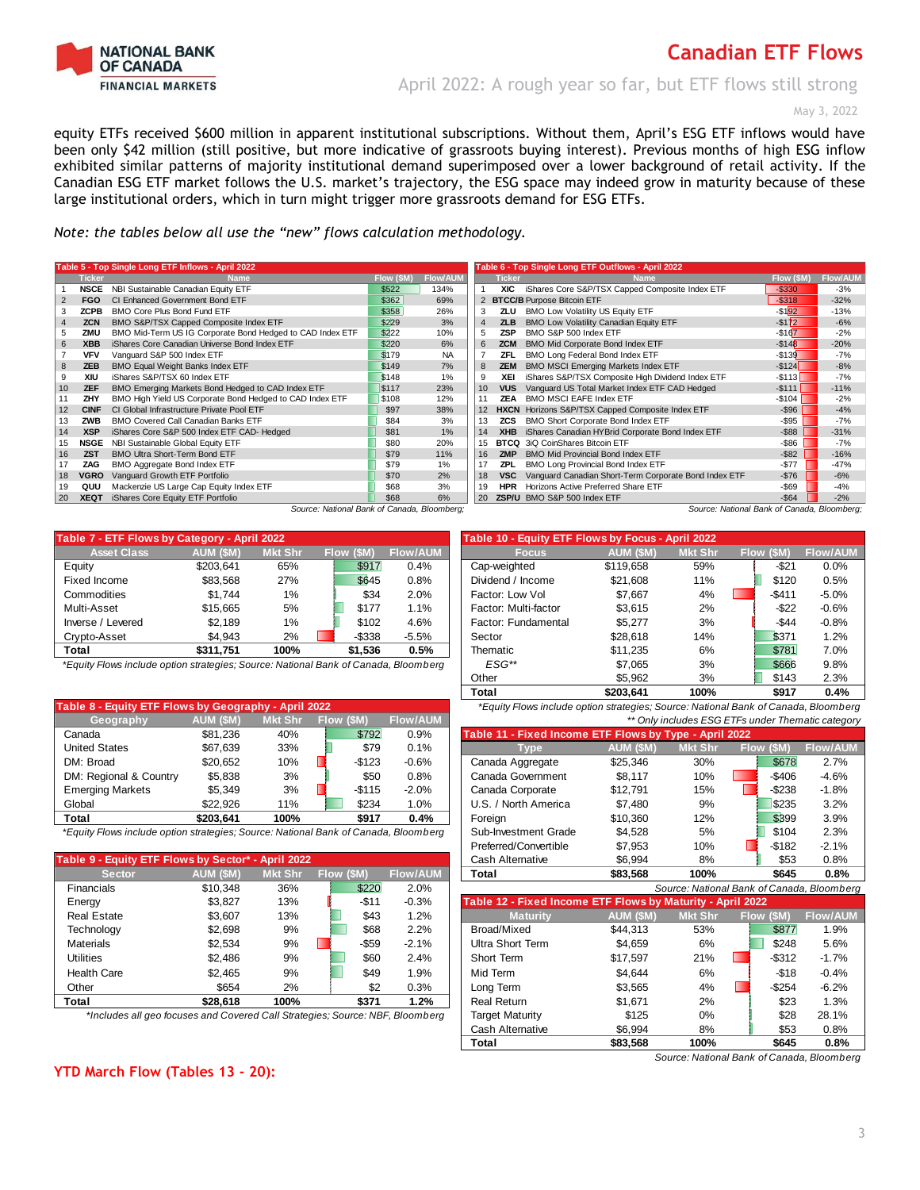

April 2022: A rough year so far, but ETF flows still strong

May 3, 2022

equity ETFs received \$600 million in apparent institutional subscriptions. Without them, April's ESG ETF inflows would have been only \$42 million (still positive, but more indicative of grassroots buying interest). Previous months of high ESG inflow exhibited similar patterns of majority institutional demand superimposed over a lower background of retail activity. If the Canadian ESG ETF market follows the U.S. market's trajectory, the ESG space may indeed grow in maturity because of these large institutional orders, which in turn might trigger more grassroots demand for ESG ETFs.

*Note: the tables below all use the "new" flows calculation methodology.* 

|    |               | Table 5 - Top Single Long ETF Inflows - April 2022        |            |                 | Table 6 - Top Single Long ETF Outflows - April 2022 |               |                                                       |            |                 |  |  |
|----|---------------|-----------------------------------------------------------|------------|-----------------|-----------------------------------------------------|---------------|-------------------------------------------------------|------------|-----------------|--|--|
|    | <b>Ticker</b> | <b>Name</b>                                               | Flow (\$M) | <b>Flow/AUM</b> |                                                     | <b>Ticker</b> | <b>Name</b>                                           | Flow (\$M) | <b>Flow/AUM</b> |  |  |
|    | <b>NSCE</b>   | NBI Sustainable Canadian Equity ETF                       | \$522      | 134%            |                                                     | <b>XIC</b>    | iShares Core S&P/TSX Capped Composite Index ETF       | $-$330$    | $-3%$           |  |  |
|    | <b>FGO</b>    | CI Enhanced Government Bond ETF                           | \$362      | 69%             |                                                     |               | <b>BTCC/B Purpose Bitcoin ETF</b>                     | $-$318$    | $-32%$          |  |  |
|    | ZCPB          | BMO Core Plus Bond Fund ETF                               | \$358      | 26%             |                                                     | ZLU           | BMO Low Volatility US Equity ETF                      | $-$ \$192  | $-13%$          |  |  |
|    | <b>ZCN</b>    | BMO S&P/TSX Capped Composite Index ETF                    | \$229      | 3%              | $\overline{4}$                                      | <b>ZLB</b>    | BMO Low Volatility Canadian Equity ETF                | $-1172$    | $-6%$           |  |  |
|    | ZMU           | BMO Mid-Term US IG Corporate Bond Hedged to CAD Index ETF | \$222      | 10%             | 5                                                   | <b>ZSP</b>    | BMO S&P 500 Index ETF                                 | $-$167$    | $-2%$           |  |  |
|    | <b>XBB</b>    | iShares Core Canadian Universe Bond Index ETF             | \$220      | 6%              | 6                                                   | <b>ZCM</b>    | BMO Mid Corporate Bond Index ETF                      | $-$148$    | $-20%$          |  |  |
|    | <b>VFV</b>    | Vanguard S&P 500 Index ETF                                | \$179      | <b>NA</b>       |                                                     | ZFL           | BMO Long Federal Bond Index ETF                       | $-$139$    | $-7%$           |  |  |
| 8  | ZEB           | <b>BMO Equal Weight Banks Index ETF</b>                   | \$149      | 7%              | 8                                                   | <b>ZEM</b>    | <b>BMO MSCI Emerging Markets Index ETF</b>            | $-$124$    | $-8%$           |  |  |
|    | XIU           | iShares S&P/TSX 60 Index ETF                              | \$148      | 1%              |                                                     | XEI           | iShares S&P/TSX Composite High Dividend Index ETF     | $-$113$    | $-7%$           |  |  |
| 10 | <b>ZEF</b>    | BMO Emerging Markets Bond Hedged to CAD Index ETF         | \$117      | 23%             | 10                                                  | <b>VUS</b>    | Vanguard US Total Market Index ETF CAD Hedged         | $-$111$    | $-11%$          |  |  |
|    | ZHY           | BMO High Yield US Corporate Bond Hedged to CAD Index ETF  | \$108      | 12%             |                                                     | ZEA           | <b>BMO MSCI EAFE Index ETF</b>                        | $-$104$    | $-2%$           |  |  |
| 12 | <b>CINF</b>   | CI Global Infrastructure Private Pool ETF                 | \$97       | 38%             |                                                     |               | HXCN Horizons S&P/TSX Capped Composite Index ETF      | $-$ \$96   | $-4%$           |  |  |
| 13 | ZWB           | <b>BMO Covered Call Canadian Banks ETF</b>                | \$84       | 3%              | 13                                                  | <b>ZCS</b>    | BMO Short Corporate Bond Index ETF                    | $-$ \$95   | $-7%$           |  |  |
| 14 | <b>XSP</b>    | iShares Core S&P 500 Index ETF CAD- Hedged                | \$81       | 1%              | 14                                                  | <b>XHB</b>    | iShares Canadian HYBrid Corporate Bond Index ETF      | $-$ \$88   | $-31%$          |  |  |
| 15 | NSGE          | NBI Sustainable Global Equity ETF                         | \$80       | 20%             | 15                                                  |               | <b>BTCQ</b> 3iQ CoinShares Bitcoin ETF                | $-$ \$86   | $-7%$           |  |  |
| 16 | <b>ZST</b>    | BMO Ultra Short-Term Bond ETF                             | \$79       | 11%             | 16                                                  | <b>ZMP</b>    | <b>BMO Mid Provincial Bond Index ETF</b>              | $-$ \$82   | $-16%$          |  |  |
|    | ZAG           | BMO Aggregate Bond Index ETF                              | \$79       | 1%              | 17                                                  | <b>ZPL</b>    | BMO Long Provincial Bond Index ETF                    | $-$77$     | $-47%$          |  |  |
| 18 | VGRO          | Vanguard Growth ETF Portfolio                             | \$70       | 2%              | 18                                                  | <b>VSC</b>    | Vanquard Canadian Short-Term Corporate Bond Index ETF | $-$76$     | $-6%$           |  |  |
| 19 | QUU           | Mackenzie US Large Cap Equity Index ETF                   | \$68       | 3%              | 19                                                  | <b>HPR</b>    | Horizons Active Preferred Share ETF                   | $-$ \$69   | $-4%$           |  |  |
| 20 | <b>XEQT</b>   | iShares Core Equity ETF Portfolio                         | \$68       | 6%              | 20                                                  |               | ZSP/U BMO S&P 500 Index ETF                           | $-$ \$64   | $-2%$           |  |  |
|    |               | Course: Netional Bank of Canada, Bloomborg                |            |                 |                                                     |               | Course: National Bank of Canada, Bloomborg            |            |                 |  |  |

*Source: National Bank of Canada, Bloomberg; Source: National Bank of Canada, Bloomberg;*

| Table 7 - ETF Flows by Category - April 2022 |           |                |           |                 | Table 10 - Equity ETF Flows by Focus - April 2022 |           |                |            |                |
|----------------------------------------------|-----------|----------------|-----------|-----------------|---------------------------------------------------|-----------|----------------|------------|----------------|
| <b>Asset Class</b>                           | AUM (\$M) | <b>Mkt Shr</b> | Flow (SM) | <b>Flow/AUM</b> | <b>Focus</b>                                      | AUM (\$M) | <b>Mkt Shr</b> | Flow (\$M) | <b>Flow/AU</b> |
| Equity                                       | \$203.641 | 65%            | \$917     | 0.4%            | Cap-weighted                                      | \$119.658 | 59%            | $-$ \$21   | 0.0%           |
| Fixed Income                                 | \$83.568  | 27%            | \$645     | 0.8%            | Dividend / Income                                 | \$21.608  | 11%            | \$120      | 0.5%           |
| Commodities                                  | \$1.744   | $1\%$          | \$34      | 2.0%            | Factor: Low Vol                                   | \$7.667   | 4%             | $-$ \$411  | $-5.0%$        |
| Multi-Asset                                  | \$15,665  | 5%             | \$177     | 1.1%            | Factor: Multi-factor                              | \$3.615   | 2%             | -\$22      | $-0.6%$        |
| Inverse / Levered                            | \$2.189   | 1%             | \$102     | 4.6%            | Factor: Fundamental                               | \$5.277   | 3%             | $-$44$     | $-0.8%$        |
| Crypto-Asset                                 | \$4.943   | 2%             | $-$ \$338 | $-5.5%$         | Sector                                            | \$28,618  | 14%            | \$371      | 1.2%           |
| Total                                        | \$311.751 | 100%           | \$1.536   | 0.5%            | Thematic                                          | \$11.235  | 6%             | \$781      | 7.0%           |

| Table 8 - Equity ETF Flows by Geography - April 2022 |           |                |            |                 |                                                        | *Equity Flows include option strategies; Source: National Bank of Canada, Bloomberg |                |            |                 |  |  |  |
|------------------------------------------------------|-----------|----------------|------------|-----------------|--------------------------------------------------------|-------------------------------------------------------------------------------------|----------------|------------|-----------------|--|--|--|
| Geography                                            | AUM (\$M) | <b>Mkt Shr</b> | Flow (\$M) | <b>Flow/AUM</b> | ** Only includes ESG ETFs under Thematic category      |                                                                                     |                |            |                 |  |  |  |
| Canada                                               | \$81.236  | 40%            | \$792      | $0.9\%$         | Table 11 - Fixed Income ETF Flows by Type - April 2022 |                                                                                     |                |            |                 |  |  |  |
| <b>United States</b>                                 | \$67.639  | 33%            | \$79       | 0.1%            | Type                                                   | AUM (\$M)                                                                           | <b>Mkt Shr</b> | Flow (\$M) | <b>Flow/AUM</b> |  |  |  |
| DM: Broad                                            | \$20.652  | 10%            | $-$123$    | $-0.6%$         | Canada Aggregate                                       | \$25.346                                                                            | 30%            | \$678      | 2.7%            |  |  |  |
| DM: Regional & Country                               | \$5.838   | 3%             | \$50       | $0.8\%$         | Canada Government                                      | \$8.117                                                                             | 10%            | $-$406$    | $-4.6%$         |  |  |  |
| <b>Emerging Markets</b>                              | \$5.349   | 3%             | $-$115$    | $-2.0%$         | Canada Corporate                                       | \$12.791                                                                            | 15%            | $-$238$    | $-1.8%$         |  |  |  |
| Global                                               | \$22.926  | 11%            | \$234      | 1.0%            | U.S. / North America                                   | \$7.480                                                                             | 9%             | \$235      | 3.2%            |  |  |  |
| Total                                                | \$203.641 | 100%           | \$917      | 0.4%            | Foreian                                                | \$10.360                                                                            | 12%            | \$399      | 3.9%            |  |  |  |

| Table 9 - Equity ETF Flows by Sector* - April 2022 |           |                |            |                 | Cash Alternative                                           | \$6,994   | 8%             | \$53                                     | 0.8%           |
|----------------------------------------------------|-----------|----------------|------------|-----------------|------------------------------------------------------------|-----------|----------------|------------------------------------------|----------------|
| <b>Sector</b>                                      | AUM (\$M) | <b>Mkt Shr</b> | Flow (\$M) | <b>Flow/AUM</b> | Total                                                      | \$83,568  | 100%           | \$645                                    | 0.8%           |
| <b>Financials</b>                                  | \$10.348  | 36%            | \$220      | 2.0%            |                                                            |           |                | Source: National Bank of Canada, Bloombe |                |
| Energy                                             | \$3.827   | 13%            | $-$11$     | $-0.3%$         | Table 12 - Fixed Income ETF Flows by Maturity - April 2022 |           |                |                                          |                |
| <b>Real Estate</b>                                 | \$3.607   | 13%            | \$43       | 1.2%            | <b>Maturity</b>                                            | AUM (\$M) | <b>Mkt Shr</b> | Flow (\$M)                               | <b>Flow/AU</b> |
| Technology                                         | \$2,698   | 9%             | \$68       | 2.2%            | Broad/Mixed                                                | \$44.313  | 53%            | \$877                                    | 1.9%           |
| <b>Materials</b>                                   | \$2,534   | 9%             | $-$ \$59   | $-2.1%$         | Ultra Short Term                                           | \$4,659   | 6%             | \$248                                    | 5.6%           |
| <b>Utilities</b>                                   | \$2.486   | 9%             | \$60       | 2.4%            | Short Term                                                 | \$17.597  | 21%            | $-$312$                                  | $-1.7%$        |
| <b>Health Care</b>                                 | \$2.465   | 9%             | \$49       | 1.9%            | Mid Term                                                   | \$4.644   | 6%             | $-$18$                                   | $-0.4%$        |
| Other                                              | \$654     | 2%             | \$2        | 0.3%            | Long Term                                                  | \$3.565   | 4%             | $-$ \$254                                | $-6.2%$        |
| Total                                              | \$28,618  | 100%           | \$371      | 1.2%            | <b>Real Return</b>                                         | \$1.671   | 2%             | \$23                                     | 1.3%           |

# **Asset Class AUM (\$M) Mkt Shr Flow (\$M) Flow/AUM Focus AUM (\$M) Mkt Shr Flow (\$M) Flow/AUM** Factor: Fundamental  $$5,277$  3%  $$344$  -0.8% <br>Sector  $$28.618$  14%  $$371$  1.2% **Total \$311,751 100% \$1,536 0.5%** Thematic \$11,235 6% \$781 7.0% *\*Equity Flows include option strategies; Source: National Bank of Canada, Bloomberg ESG\*\** \$7,065 3% \$666 9.8% Other 55,962 3% \$143 2.3% **Total \$203,641 100% \$917 0.4%**

| Geography                                                                           | AUM (ƏM)  | <b>MAGE DILL</b> | <b>FIOW (DIVI)</b> | <b>FIOWACINE</b> |                                                        |                 |                | <u>Universides ESG ETES under Themalic calegory</u> |                 |
|-------------------------------------------------------------------------------------|-----------|------------------|--------------------|------------------|--------------------------------------------------------|-----------------|----------------|-----------------------------------------------------|-----------------|
| Canada                                                                              | \$81.236  | 40%              | \$792              | 0.9%             | Table 11 - Fixed Income ETF Flows by Type - April 2022 |                 |                |                                                     |                 |
| <b>United States</b>                                                                | \$67.639  | 33%              | \$79               | 0.1%             | <b>vpe</b>                                             | <b>AUM (SM)</b> | <b>Mkt Shr</b> | Flow (SM)                                           | <b>Flow/AUM</b> |
| DM: Broad                                                                           | \$20.652  | 10%              | $-$123$            | $-0.6%$          | Canada Aggregate                                       | \$25.346        | 30%            | \$678                                               | 2.7%            |
| DM: Regional & Country                                                              | \$5,838   | 3%               | \$50               | 0.8%             | Canada Government                                      | \$8.117         | 10%            | $-$406$                                             | $-4.6%$         |
| Emerging Markets                                                                    | \$5.349   | 3%               | $-$115$            | $-2.0%$          | Canada Corporate                                       | \$12.791        | 15%            | $-$238$                                             | $-1.8%$         |
| Global                                                                              | \$22.926  | 11%              | \$234              | 1.0%             | U.S. / North America                                   | \$7.480         | 9%             | \$235                                               | 3.2%            |
| Total                                                                               | \$203.641 | 100%             | \$917              | $0.4\%$          | Foreian                                                | \$10.360        | 12%            | \$399                                               | 3.9%            |
| *Equity Flows include option strategies; Source: National Bank of Canada, Bloomberg |           |                  |                    |                  | Sub-Investment Grade                                   | \$4.528         | 5%             | \$104                                               | 2.3%            |
|                                                                                     |           |                  |                    |                  | Preferred/Convertible                                  | \$7,953         | 10%            | $-$182$                                             | $-2.1%$         |
| able 9 - Equity ETF Flows by Sector* - April 2022                                   |           |                  |                    |                  | Cash Alternative                                       | \$6.994         | 8%             | \$53                                                | 0.8%            |
| <b>Sector</b>                                                                       | AUM (\$M) | <b>Mkt Shr</b>   | Flow (\$M)         | <b>Flow/AUM</b>  | Total                                                  | \$83,568        | 100%           | \$645                                               | 0.8%            |
|                                                                                     |           |                  |                    |                  |                                                        |                 |                |                                                     |                 |

| <b>Financials</b>  | \$10.348                                                                      | 36%  | \$220  | 2.0%    |                                                            |           |                |            |           | Source: National Bank of Canada, Bloomberg |
|--------------------|-------------------------------------------------------------------------------|------|--------|---------|------------------------------------------------------------|-----------|----------------|------------|-----------|--------------------------------------------|
| Energy             | \$3,827                                                                       | 13%  | $-$11$ | $-0.3%$ | Table 12 - Fixed Income ETF Flows by Maturity - April 2022 |           |                |            |           |                                            |
| <b>Real Estate</b> | \$3,607                                                                       | 13%  | \$43   | 1.2%    | <b>Maturity</b>                                            | AUM (\$M) | <b>Mkt Shr</b> | Flow (\$M) |           | <b>Flow/AUM</b>                            |
| Technology         | \$2,698                                                                       | 9%   | \$68   | 2.2%    | Broad/Mixed                                                | \$44.313  | 53%            |            | \$877     | 1.9%                                       |
| <b>Materials</b>   | \$2,534                                                                       | 9%   | -\$59  | $-2.1%$ | Ultra Short Term                                           | \$4,659   | 6%             |            | \$248     | 5.6%                                       |
| <b>Utilities</b>   | \$2,486                                                                       | 9%   | \$60   | 2.4%    | Short Term                                                 | \$17.597  | 21%            |            | $-$ \$312 | $-1.7%$                                    |
| <b>Health Care</b> | \$2,465                                                                       | 9%   | \$49   | 1.9%    | Mid Term                                                   | \$4.644   | 6%             |            | $-$18$    | $-0.4%$                                    |
| Other              | \$654                                                                         | 2%   | \$2    | 0.3%    | Long Term                                                  | \$3,565   | 4%             |            | $-$254$   | $-6.2%$                                    |
| Total              | \$28.618                                                                      | 100% | \$371  | 1.2%    | <b>Real Return</b>                                         | \$1.671   | 2%             |            | \$23      | 1.3%                                       |
|                    | *Includes all geo focuses and Covered Call Strategies; Source: NBF, Bloomberg |      |        |         | <b>Target Maturity</b>                                     | \$125     | 0%             |            | \$28      | 28.1%                                      |
|                    |                                                                               |      |        |         | <b>Cash Alternative</b>                                    | \$6.994   | 8%             |            | \$53      | 0.8%                                       |
|                    |                                                                               |      |        |         | Total                                                      | \$83,568  | 100%           |            | \$645     | 0.8%                                       |

*Source: National Bank of Canada, Bloomberg*

**YTD March Flow (Tables 13 - 20):**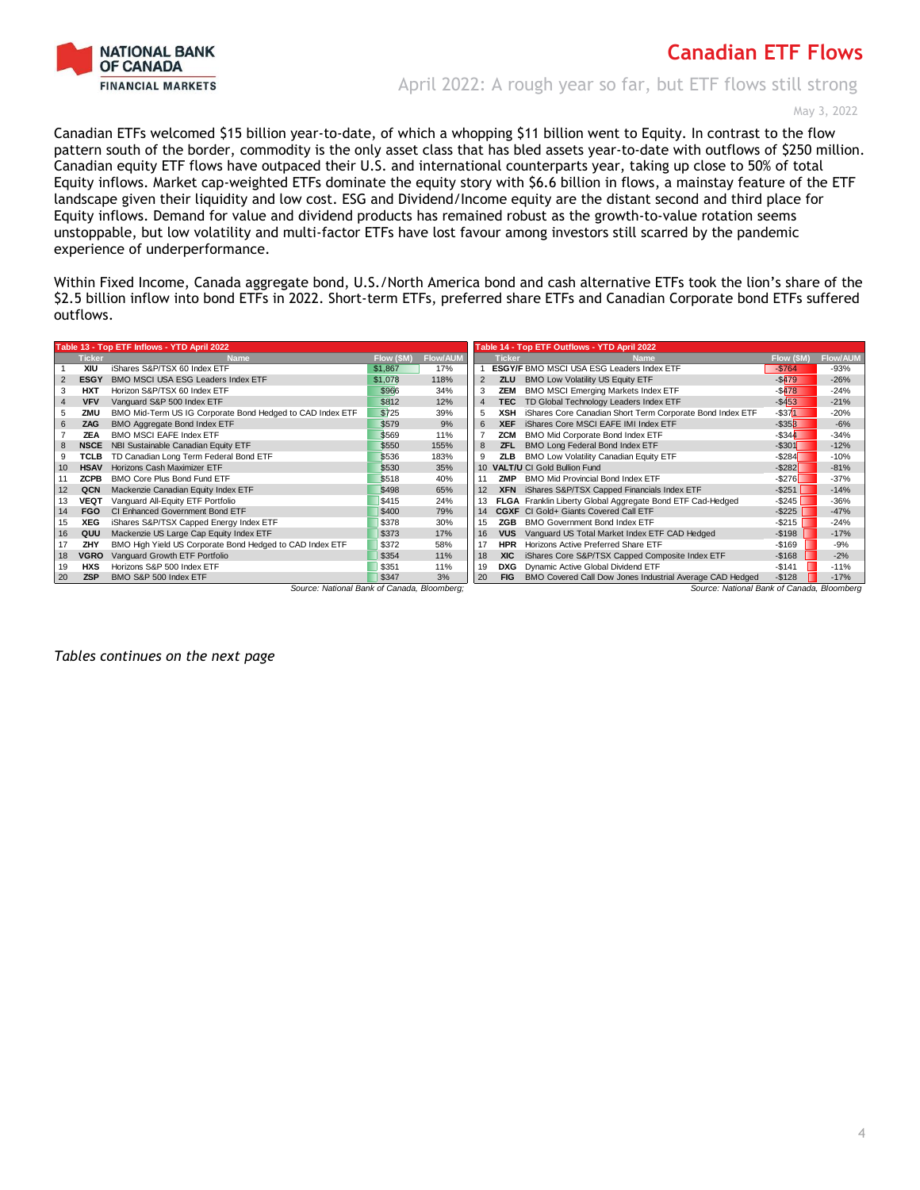

April 2022: A rough year so far, but ETF flows still strong

May 3, 2022

Canadian ETFs welcomed \$15 billion year-to-date, of which a whopping \$11 billion went to Equity. In contrast to the flow pattern south of the border, commodity is the only asset class that has bled assets year-to-date with outflows of \$250 million. Canadian equity ETF flows have outpaced their U.S. and international counterparts year, taking up close to 50% of total Equity inflows. Market cap-weighted ETFs dominate the equity story with \$6.6 billion in flows, a mainstay feature of the ETF landscape given their liquidity and low cost. ESG and Dividend/Income equity are the distant second and third place for Equity inflows. Demand for value and dividend products has remained robust as the growth-to-value rotation seems unstoppable, but low volatility and multi-factor ETFs have lost favour among investors still scarred by the pandemic experience of underperformance.

Within Fixed Income, Canada aggregate bond, U.S./North America bond and cash alternative ETFs took the lion's share of the \$2.5 billion inflow into bond ETFs in 2022. Short-term ETFs, preferred share ETFs and Canadian Corporate bond ETFs suffered outflows.

|    |               | Table 13 - Top ETF Inflows - YTD April 2022               |            |                 | Table 14 - Top ETF Outflows - YTD April 2022 |               |                                                            |            |                 |  |
|----|---------------|-----------------------------------------------------------|------------|-----------------|----------------------------------------------|---------------|------------------------------------------------------------|------------|-----------------|--|
|    | <b>Ticker</b> | <b>Name</b>                                               | Flow (\$M) | <b>Flow/AUM</b> |                                              | <b>Ticker</b> | <b>Name</b>                                                | Flow (\$M) | <b>Flow/AUM</b> |  |
|    | XIU           | iShares S&P/TSX 60 Index ETF                              | \$1,867    | 17%             |                                              |               | <b>ESGY/F BMO MSCI USA ESG Leaders Index ETF</b>           | $-$764$    | $-93%$          |  |
|    | <b>ESGY</b>   | BMO MSCI USA ESG Leaders Index ETF                        | \$1,078    | 118%            | $\overline{2}$                               | <b>ZLU</b>    | <b>BMO Low Volatility US Equity ETF</b>                    | $-$ \$479  | $-26%$          |  |
|    | <b>HXT</b>    | Horizon S&P/TSX 60 Index ETF                              | \$966      | 34%             | 3                                            | <b>ZEM</b>    | <b>BMO MSCI Emerging Markets Index ETF</b>                 | $-$478$    | $-24%$          |  |
|    | <b>VFV</b>    | Vanguard S&P 500 Index ETF                                | \$812      | 12%             | 4                                            | <b>TEC</b>    | TD Global Technology Leaders Index ETF                     | $-$ \$453  | $-21%$          |  |
| 5  | ZMU           | BMO Mid-Term US IG Corporate Bond Hedged to CAD Index ETF | \$725      | 39%             | 5                                            | <b>XSH</b>    | iShares Core Canadian Short Term Corporate Bond Index ETF  | $-$ \$371  | $-20%$          |  |
| 6  | ZAG           | BMO Aggregate Bond Index ETF                              | \$579      | 9%              | 6                                            | <b>XEF</b>    | iShares Core MSCI EAFE IMI Index ETF                       | $-$ \$353  | $-6%$           |  |
|    | <b>ZEA</b>    | <b>BMO MSCI EAFE Index ETF</b>                            | \$569      | 11%             |                                              | <b>ZCM</b>    | BMO Mid Corporate Bond Index ETF                           | $-$ \$344  | $-34%$          |  |
| 8  | <b>NSCE</b>   | NBI Sustainable Canadian Equity ETF                       | \$550      | 155%            | 8                                            | <b>ZFL</b>    | BMO Long Federal Bond Index ETF                            | $-$ \$301  | $-12%$          |  |
| 9  | <b>TCLB</b>   | TD Canadian Long Term Federal Bond ETF                    | \$536      | 183%            | 9                                            | ZLB           | BMO Low Volatility Canadian Equity ETF                     | $-$ \$284  | $-10%$          |  |
| 10 | <b>HSAV</b>   | Horizons Cash Maximizer ETF                               | \$530      | 35%             | 10                                           |               | <b>VALT/U CI Gold Bullion Fund</b>                         | $-$ \$282  | $-81%$          |  |
|    | <b>ZCPB</b>   | BMO Core Plus Bond Fund ETF                               | \$518      | 40%             |                                              | ZMP           | <b>BMO Mid Provincial Bond Index ETF</b>                   | $-$ \$276  | $-37%$          |  |
| 12 | QCN           | Mackenzie Canadian Equity Index ETF                       | \$498      | 65%             | 12                                           |               | XFN iShares S&P/TSX Capped Financials Index ETF            | $-$ \$251  | $-14%$          |  |
| 13 | VEQT          | Vanguard All-Equity ETF Portfolio                         | \$415      | 24%             | 13                                           |               | FLGA Franklin Liberty Global Aggregate Bond ETF Cad-Hedged | $-$ \$245  | $-36%$          |  |
| 14 | <b>FGO</b>    | CI Enhanced Government Bond ETF                           | \$400      | 79%             | 14                                           |               | <b>CGXF</b> CI Gold+ Giants Covered Call ETF               | $-$ \$225  | $-47%$          |  |
| 15 | XEG           | iShares S&P/TSX Capped Energy Index ETF                   | \$378      | 30%             | 15                                           | ZGB           | <b>BMO Government Bond Index ETF</b>                       | $-$ \$215  | $-24%$          |  |
| 16 | QUU           | Mackenzie US Large Cap Equity Index ETF                   | \$373      | 17%             | 16                                           | <b>VUS</b>    | Vanguard US Total Market Index ETF CAD Hedged              | $-$198$    | $-17%$          |  |
| 17 | ZHY           | BMO High Yield US Corporate Bond Hedged to CAD Index ETF  | \$372      | 58%             | 17                                           | <b>HPR</b>    | Horizons Active Preferred Share ETF                        | $-$169$    | $-9%$           |  |
| 18 | VGRO          | Vanguard Growth ETF Portfolio                             | \$354      | 11%             | 18                                           | <b>XIC</b>    | iShares Core S&P/TSX Capped Composite Index ETF            | $-$168$    | $-2%$           |  |
| 19 | <b>HXS</b>    | Horizons S&P 500 Index ETF                                | \$351      | 11%             | 19                                           | <b>DXG</b>    | Dynamic Active Global Dividend ETF                         | $-$141$    | $-11%$          |  |
| 20 | <b>ZSP</b>    | BMO S&P 500 Index ETF                                     | \$347      | 3%              | 20                                           | <b>FIG</b>    | BMO Covered Call Dow Jones Industrial Average CAD Hedged   | $-$128$    | $-17%$          |  |
|    |               | Source: National Bank of Canada, Bloomberg;               |            |                 |                                              |               | Source: National Bank of Canada, Bloomberg                 |            |                 |  |

*Tables continues on the next page*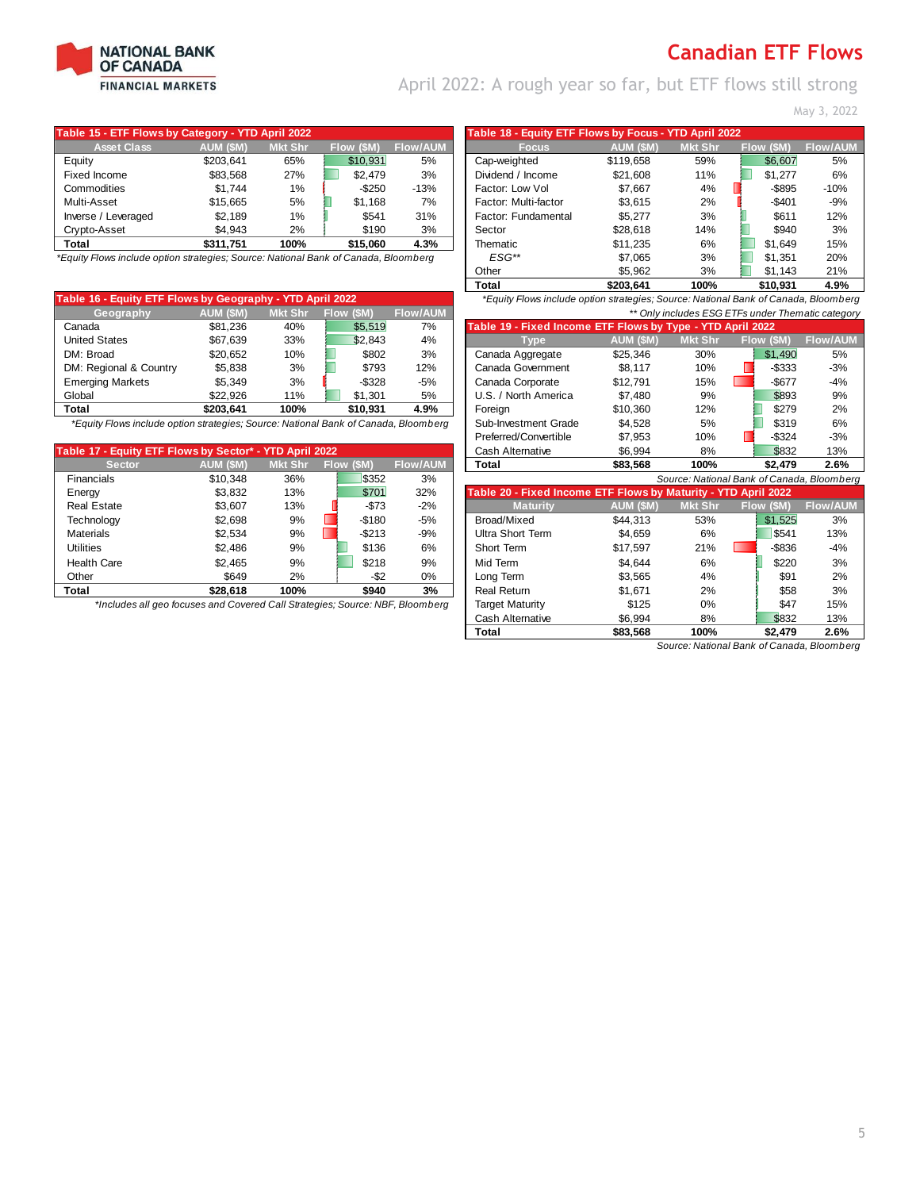

April 2022: A rough year so far, but ETF flows still strong

May 3, 2022

| Table 15 - ETF Flows by Category - YTD April 2022 |           |                |            |                 | Table 18 - Equity ETF Flows by Focus - YTD April 2022 |           |                |            |                |
|---------------------------------------------------|-----------|----------------|------------|-----------------|-------------------------------------------------------|-----------|----------------|------------|----------------|
| <b>Asset Class</b>                                | AUM (\$M) | <b>Mkt Shr</b> | Flow (\$M) | <b>Flow/AUM</b> | <b>Focus</b>                                          | AUM (\$M) | <b>Mkt Shr</b> | Flow (\$M) | <b>Flow/AU</b> |
| Equity                                            | \$203.641 | 65%            | \$10.931   | 5%              | Cap-weighted                                          | \$119.658 | 59%            | \$6.607    | 5%             |
| Fixed Income                                      | \$83.568  | 27%            | \$2.479    | 3%              | Dividend / Income                                     | \$21.608  | 11%            | \$1,277    | 6%             |
| Commodities                                       | \$1.744   | 1%             | $-$ \$250  | $-13%$          | Factor: Low Vol                                       | \$7.667   | 4%             | $-$ \$895  | $-10%$         |
| Multi-Asset                                       | \$15,665  | 5%             | \$1.168    | 7%              | Factor: Multi-factor                                  | \$3.615   | 2%             | $-$401$    | -9%            |
| Inverse / Leveraged                               | \$2.189   | 1%             | \$541      | 31%             | Factor: Fundamental                                   | \$5.277   | 3%             | \$611      | 12%            |
| Crypto-Asset                                      | \$4,943   | 2%             | \$190      | 3%              | Sector                                                | \$28.618  | 14%            | \$940      | 3%             |
| Total                                             | \$311.751 | 100%           | \$15.060   | 4.3%            | Thematic                                              | \$11.235  | 6%             | \$1.649    | 15%            |

*\*Equity Flows include option strategies; Source: National Bank of Canada, Bloomberg* 

| Table 16 - Equity ETF Flows by Geography - YTD April 2022 |                                                                                                                   |                |            |                 | *Equity Flows include option strategies; Source: National Bank of Canada, Bloombe |          |       |         |        |  |  |  |
|-----------------------------------------------------------|-------------------------------------------------------------------------------------------------------------------|----------------|------------|-----------------|-----------------------------------------------------------------------------------|----------|-------|---------|--------|--|--|--|
| Geography                                                 | AUM (\$M)                                                                                                         | <b>Mkt Shr</b> | Flow (\$M) | <b>Flow/AUM</b> | ** Only includes ESG ETFs under Thematic catego                                   |          |       |         |        |  |  |  |
| Canada                                                    | \$81.236                                                                                                          | 40%            | \$5.519    | 7%              | Table 19 - Fixed Income ETF Flows by Type - YTD April 2022                        |          |       |         |        |  |  |  |
| <b>United States</b>                                      | \$67.639                                                                                                          | 33%            | \$2.843    | 4%              | <b>Mkt Shr</b><br>Flow (\$M)<br>AUM (\$M)<br><b>Type</b>                          |          |       |         |        |  |  |  |
| DM: Broad                                                 | \$20.652                                                                                                          | 10%            | \$802      | 3%              | Canada Aggregate                                                                  | \$25.346 | 30%   | \$1,490 | 5%     |  |  |  |
| DM: Regional & Country                                    | \$5.838                                                                                                           | 3%             | \$793      | 12%             | Canada Government                                                                 | \$8.117  | 10%   | -\$333  | $-3%$  |  |  |  |
| <b>Emerging Markets</b>                                   | \$5.349                                                                                                           | 3%             | $-$ \$328  | $-5%$           | Canada Corporate                                                                  | \$12.791 | 15%   | -\$677  | -4%    |  |  |  |
| Global                                                    | \$22.926                                                                                                          | 11%            | \$1.301    | 5%              | U.S. / North America                                                              | \$7.480  | 9%    | \$893   | 9%     |  |  |  |
| Total                                                     | \$203.641                                                                                                         | 100%           | \$10.931   | 4.9%            | Foreian                                                                           | \$10.360 | 12%   | \$279   | 2%     |  |  |  |
| .                                                         | $\mathcal{L}$ , and $\mathcal{L}$ , and $\mathcal{L}$ , and $\mathcal{L}$ , and $\mathcal{L}$ , and $\mathcal{L}$ |                |            |                 |                                                                                   |          | $-01$ | 0.10    | $\sim$ |  |  |  |

| Table 17 - Equity ETF Flows by Sector* - YTD April 2022 |           |                |            | Cash Alternative | \$6.994                                                        | 8%        | \$832          | 13%                                      |                |
|---------------------------------------------------------|-----------|----------------|------------|------------------|----------------------------------------------------------------|-----------|----------------|------------------------------------------|----------------|
| <b>Sector</b>                                           | AUM (\$M) | <b>Mkt Shr</b> | Flow (\$M) | <b>Flow/AUM</b>  | Total                                                          | \$83,568  | 100%           | \$2,479                                  | 2.6%           |
| <b>Financials</b>                                       | \$10.348  | 36%            | \$352      | 3%               |                                                                |           |                | Source: National Bank of Canada, Bloombe |                |
| Energy                                                  | \$3.832   | 13%            | \$701      | 32%              | Table 20 - Fixed Income ETF Flows by Maturity - YTD April 2022 |           |                |                                          |                |
| <b>Real Estate</b>                                      | \$3,607   | 13%            | $-573$     | $-2%$            | <b>Maturity</b>                                                | AUM (\$M) | <b>Mkt Shr</b> | Flow (\$M)                               | <b>Flow/AU</b> |
| Technology                                              | \$2.698   | 9%             | $-$180$    | $-5%$            | Broad/Mixed                                                    | \$44.313  | 53%            | \$1,525                                  | 3%             |
| <b>Materials</b>                                        | \$2.534   | 9%             | -\$213     | $-9%$            | Ultra Short Term                                               | \$4,659   | 6%             | \$541                                    | 13%            |
| <b>Utilities</b>                                        | \$2.486   | 9%             | \$136      | 6%               | Short Term                                                     | \$17,597  | 21%            | $-$836$                                  | -4%            |
| <b>Health Care</b>                                      | \$2.465   | 9%             | \$218      | 9%               | Mid Term                                                       | \$4.644   | 6%             | \$220                                    | 3%             |
| Other                                                   | \$649     | 2%             | -\$2       | 0%               | Long Term                                                      | \$3.565   | 4%             | \$91                                     | 2%             |
| Total                                                   | \$28.618  | 100%           | \$940      | 3%               | <b>Real Return</b>                                             | \$1.671   | 2%             | \$58                                     | 3%             |

|                                                                             | 5 - ETF Flows by Category - YTD April 2022 |                |            | Table 18 - Equity ETF Flows by Focus - YTD April 2022 |                      |           |         |           |
|-----------------------------------------------------------------------------|--------------------------------------------|----------------|------------|-------------------------------------------------------|----------------------|-----------|---------|-----------|
| <b>Asset Class</b>                                                          | AUM (\$M)                                  | <b>Mkt Shr</b> | Flow (\$M) | <b>Flow/AUM</b>                                       | <b>Focus</b>         | AUM (\$M) | Mkt Shr | Flow (SM) |
|                                                                             | \$203.641                                  | 65%            | \$10.931   | 5%                                                    | Cap-weighted         | \$119.658 | 59%     | \$6.607   |
| Income                                                                      | \$83.568                                   | 27%            | \$2.479    | 3%                                                    | Dividend / Income    | \$21.608  | 11%     | \$1.277   |
| odities                                                                     | \$1.744                                    | 1%             | $-$ \$250  | $-13%$                                                | Factor: Low Vol      | \$7.667   | 4%      | $-$ \$895 |
| <b>\sset</b>                                                                | \$15,665                                   | 5%             | \$1.168    | 7%                                                    | Factor: Multi-factor | \$3.615   | 2%      | $-$401$   |
| : / Leveraged                                                               | \$2.189                                    | 1%             | \$541      | 31%                                                   | Factor: Fundamental  | \$5.277   | 3%      | \$611     |
| -Asset                                                                      | \$4,943                                    | 2%             | \$190      | 3%                                                    | Sector               | \$28.618  | 14%     | \$940     |
|                                                                             | \$311.751                                  | 100%           | \$15.060   | 4.3%                                                  | Thematic             | \$11.235  | 6%      | \$1.649   |
| Flows include option strategies; Source: National Bank of Canada, Bloomberg |                                            |                |            |                                                       | $ESG^{**}$           | \$7.065   | 3%      | \$1.351   |
|                                                                             |                                            |                |            |                                                       | Other                | \$5,962   | 3%      | \$1.143   |
|                                                                             |                                            |                |            |                                                       | <b>Total</b>         | \$203,641 | 100%    | \$10,931  |

| Canada                                                                              | \$81,236  | 40%      | \$5,519    | 7%              | Table 19 - Fixed Income ETF Flows by Type - YTD April 2022 |           |         |                                            |                 |
|-------------------------------------------------------------------------------------|-----------|----------|------------|-----------------|------------------------------------------------------------|-----------|---------|--------------------------------------------|-----------------|
| <b>United States</b>                                                                | \$67.639  | 33%      | \$2.843    | 4%              | Type                                                       | AUM (\$M) | Mkt Shr | <b>Flow (SM)</b>                           | <b>Flow/AUM</b> |
| DM: Broad                                                                           | \$20.652  | 10%      | \$802      | 3%              | Canada Aggregate                                           | \$25,346  | 30%     | \$1,490                                    | 5%              |
| DM: Regional & Country                                                              | \$5,838   | 3%       | \$793      | 12%             | Canada Government                                          | \$8.117   | 10%     | $-$ \$333                                  | $-3%$           |
| <b>Emerging Markets</b>                                                             | \$5.349   | 3%       | $-$ \$328  | -5%             | Canada Corporate                                           | \$12.791  | 15%     | $-$ \$677                                  | $-4%$           |
| Global                                                                              | \$22.926  | 11%      | \$1.301    | 5%              | U.S. / North America                                       | \$7.480   | 9%      | \$893                                      | 9%              |
| Total                                                                               | \$203.641 | 100%     | \$10.931   | 4.9%            | Foreign                                                    | \$10,360  | 12%     | \$279                                      | 2%              |
| *Equity Flows include option strategies; Source: National Bank of Canada, Bloomberg |           |          |            |                 | Sub-Investment Grade                                       | \$4,528   | 5%      | \$319                                      | 6%              |
|                                                                                     |           |          |            |                 | Preferred/Convertible                                      | \$7.953   | 10%     | $-$ \$324                                  | $-3%$           |
| able 17 - Equity ETF Flows by Sector* - YTD April 2022                              |           |          |            |                 | Cash Alternative                                           | \$6,994   | 8%      | \$832                                      | 13%             |
| <b>Sector</b>                                                                       | AUM (\$M) | Mkt Shr. | Flow (\$M) | <b>Flow/AUM</b> | Total                                                      | \$83.568  | 100%    | \$2,479                                    | 2.6%            |
| Financials                                                                          | \$10.348  | 36%      | \$352      | 3%              |                                                            |           |         | Source: National Bank of Canada, Bloomberg |                 |

| Energy                                                                        | \$3,832  | 13%  | \$701            | 32%     | Table 20 - Fixed Income ETF Flows by Maturity - YTD April 2022 |           |                |            |                 |
|-------------------------------------------------------------------------------|----------|------|------------------|---------|----------------------------------------------------------------|-----------|----------------|------------|-----------------|
| <b>Real Estate</b>                                                            | \$3.607  | 13%  | $-573$           | $-2%$   | <b>Maturity</b>                                                | AUM (\$M) | <b>Mkt Shr</b> | Flow (\$M) | <b>Flow/AUM</b> |
| Technology                                                                    | \$2.698  | 9%   | $-$180$          | $-5%$   | Broad/Mixed                                                    | \$44.313  | 53%            | \$1,525    | 3%              |
| Materials                                                                     | \$2.534  | 9%   | $-$ \$213        | $-9%$   | Ultra Short Term                                               | \$4,659   | 6%             | \$541      | 13%             |
| <b>Utilities</b>                                                              | \$2,486  | 9%   | \$136            | 6%      | Short Term                                                     | \$17,597  | 21%            | $-$ \$836  | $-4%$           |
| <b>Health Care</b>                                                            | \$2,465  | 9%   | \$218            | 9%      | Mid Term                                                       | \$4.644   | 6%             | \$220      | 3%              |
| Other                                                                         | \$649    | 2%   | -\$2             | $0\%$   | Long Term                                                      | \$3,565   | 4%             | \$91       | 2%              |
| Total                                                                         | \$28,618 | 100% | \$940            | 3%      | <b>Real Return</b>                                             | \$1.671   | 2%             | \$58       | 3%              |
| *Includes all geo focuses and Covered Call Strategies; Source: NBF, Bloomberg |          |      | Target Maturity  | \$125   | $0\%$                                                          | \$47      | 15%            |            |                 |
|                                                                               |          |      | Cash Alternative | \$6,994 | 8%                                                             | \$832     | 13%            |            |                 |
|                                                                               |          |      |                  |         | Total                                                          | \$83,568  | 100%           | \$2,479    | 2.6%            |

*Source: National Bank of Canada, Bloomberg*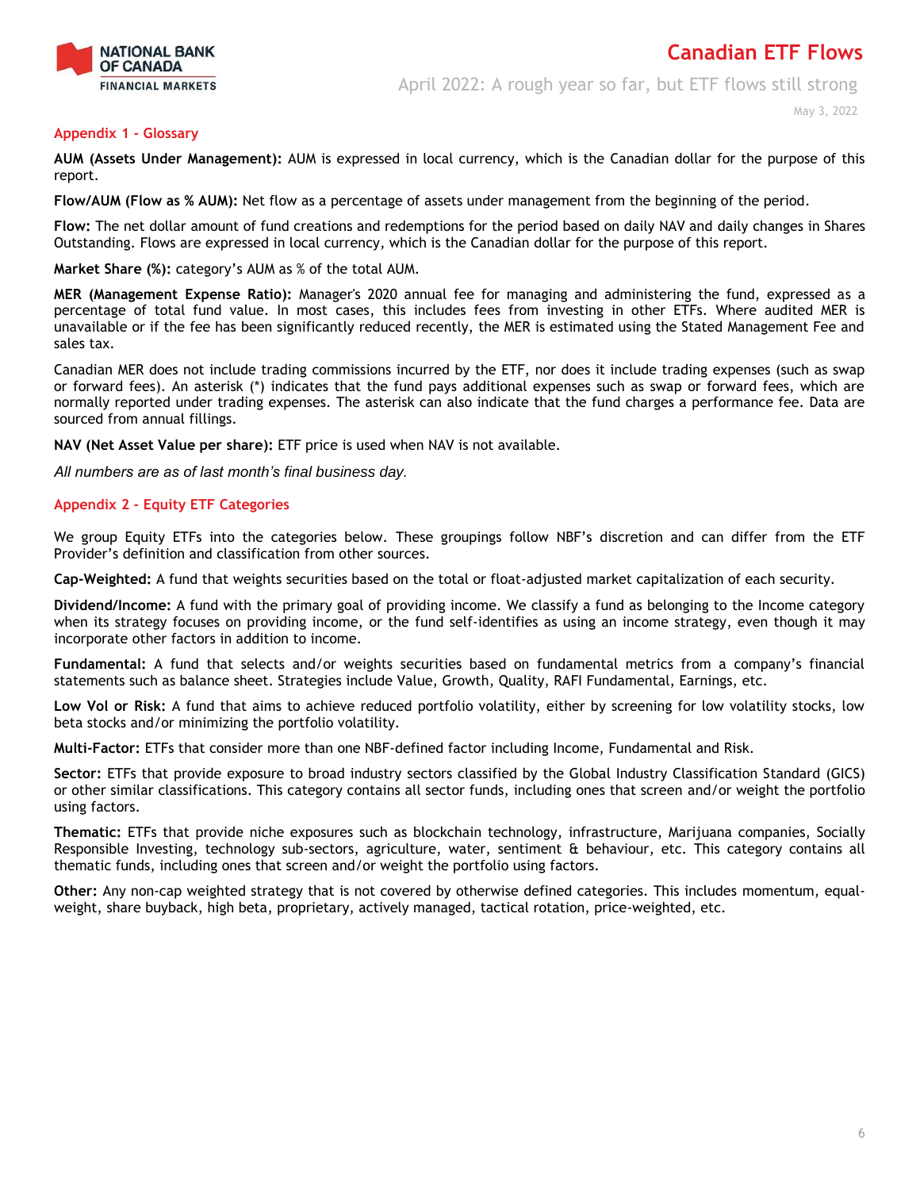

April 2022: A rough year so far, but ETF flows still strong

May 3, 2022

### **Appendix 1 - Glossary**

**AUM (Assets Under Management):** AUM is expressed in local currency, which is the Canadian dollar for the purpose of this report.

**Flow/AUM (Flow as % AUM):** Net flow as a percentage of assets under management from the beginning of the period.

**Flow:** The net dollar amount of fund creations and redemptions for the period based on daily NAV and daily changes in Shares Outstanding. Flows are expressed in local currency, which is the Canadian dollar for the purpose of this report.

**Market Share (%):** category's AUM as % of the total AUM.

**MER (Management Expense Ratio):** Manager's 2020 annual fee for managing and administering the fund, expressed as a percentage of total fund value. In most cases, this includes fees from investing in other ETFs. Where audited MER is unavailable or if the fee has been significantly reduced recently, the MER is estimated using the Stated Management Fee and sales tax.

Canadian MER does not include trading commissions incurred by the ETF, nor does it include trading expenses (such as swap or forward fees). An asterisk (\*) indicates that the fund pays additional expenses such as swap or forward fees, which are normally reported under trading expenses. The asterisk can also indicate that the fund charges a performance fee. Data are sourced from annual fillings.

**NAV (Net Asset Value per share):** ETF price is used when NAV is not available.

*All numbers are as of last month's final business day.* 

### **Appendix 2 - Equity ETF Categories**

We group Equity ETFs into the categories below. These groupings follow NBF's discretion and can differ from the ETF Provider's definition and classification from other sources.

**Cap-Weighted:** A fund that weights securities based on the total or float-adjusted market capitalization of each security.

**Dividend/Income:** A fund with the primary goal of providing income. We classify a fund as belonging to the Income category when its strategy focuses on providing income, or the fund self-identifies as using an income strategy, even though it may incorporate other factors in addition to income.

**Fundamental:** A fund that selects and/or weights securities based on fundamental metrics from a company's financial statements such as balance sheet. Strategies include Value, Growth, Quality, RAFI Fundamental, Earnings, etc.

**Low Vol or Risk:** A fund that aims to achieve reduced portfolio volatility, either by screening for low volatility stocks, low beta stocks and/or minimizing the portfolio volatility.

**Multi-Factor:** ETFs that consider more than one NBF-defined factor including Income, Fundamental and Risk.

**Sector:** ETFs that provide exposure to broad industry sectors classified by the Global Industry Classification Standard (GICS) or other similar classifications. This category contains all sector funds, including ones that screen and/or weight the portfolio using factors.

**Thematic:** ETFs that provide niche exposures such as blockchain technology, infrastructure, Marijuana companies, Socially Responsible Investing, technology sub-sectors, agriculture, water, sentiment & behaviour, etc. This category contains all thematic funds, including ones that screen and/or weight the portfolio using factors.

**Other:** Any non-cap weighted strategy that is not covered by otherwise defined categories. This includes momentum, equalweight, share buyback, high beta, proprietary, actively managed, tactical rotation, price-weighted, etc.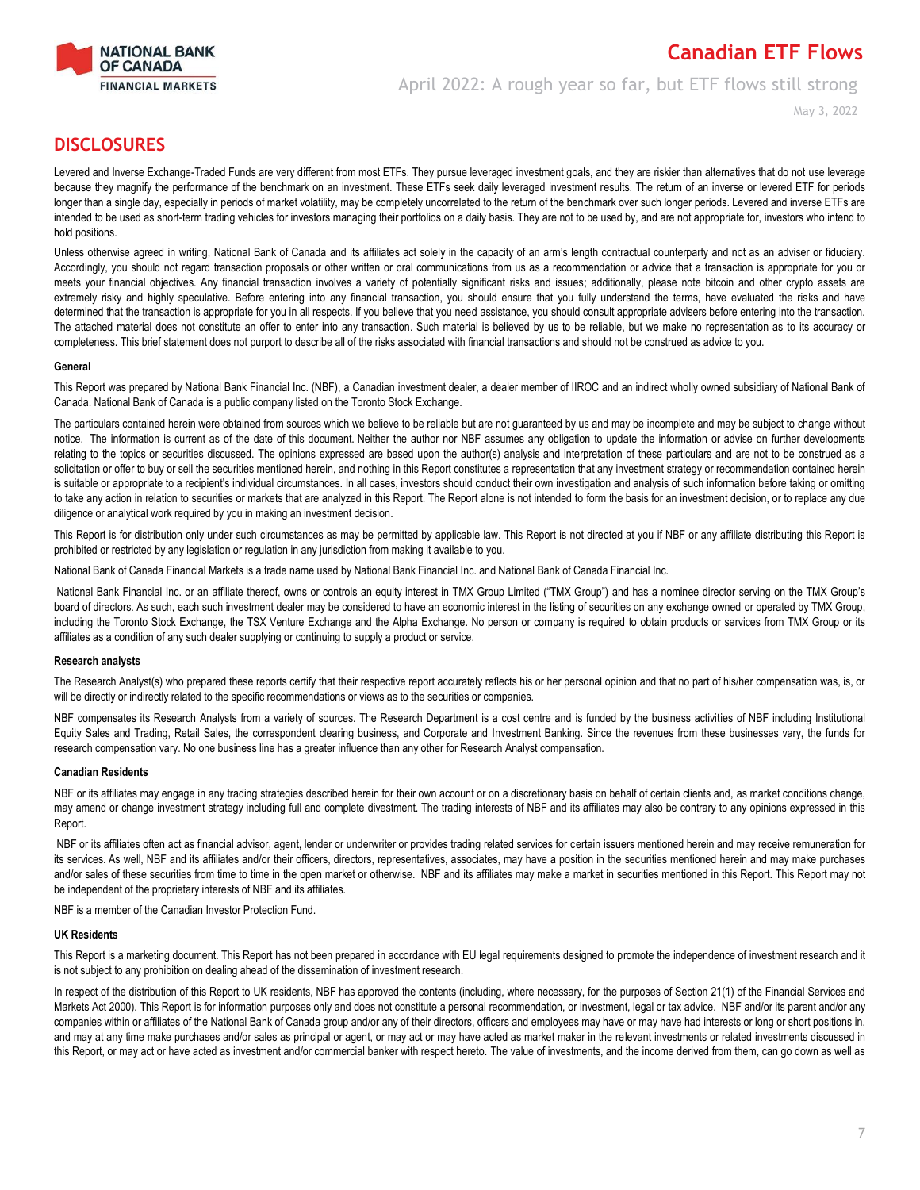

April 2022: A rough year so far, but ETF flows still strong

May 3, 2022

### **DISCLOSURES**

Levered and Inverse Exchange-Traded Funds are very different from most ETFs. They pursue leveraged investment goals, and they are riskier than alternatives that do not use leverage because they magnify the performance of the benchmark on an investment. These ETFs seek daily leveraged investment results. The return of an inverse or levered ETF for periods longer than a single day, especially in periods of market volatility, may be completely uncorrelated to the return of the benchmark over such longer periods. Levered and inverse ETFs are intended to be used as short-term trading vehicles for investors managing their portfolios on a daily basis. They are not to be used by, and are not appropriate for, investors who intend to hold positions.

Unless otherwise agreed in writing, National Bank of Canada and its affiliates act solely in the capacity of an arm's length contractual counterparty and not as an adviser or fiduciary. Accordingly, you should not regard transaction proposals or other written or oral communications from us as a recommendation or advice that a transaction is appropriate for you or meets your financial objectives. Any financial transaction involves a variety of potentially significant risks and issues; additionally, please note bitcoin and other crypto assets are extremely risky and highly speculative. Before entering into any financial transaction, you should ensure that you fully understand the terms, have evaluated the risks and have determined that the transaction is appropriate for you in all respects. If you believe that you need assistance, you should consult appropriate advisers before entering into the transaction. The attached material does not constitute an offer to enter into any transaction. Such material is believed by us to be reliable, but we make no representation as to its accuracy or completeness. This brief statement does not purport to describe all of the risks associated with financial transactions and should not be construed as advice to you.

### **General**

This Report was prepared by National Bank Financial Inc. (NBF), a Canadian investment dealer, a dealer member of IIROC and an indirect wholly owned subsidiary of National Bank of Canada. National Bank of Canada is a public company listed on the Toronto Stock Exchange.

The particulars contained herein were obtained from sources which we believe to be reliable but are not guaranteed by us and may be incomplete and may be subject to change without notice. The information is current as of the date of this document. Neither the author nor NBF assumes any obligation to update the information or advise on further developments relating to the topics or securities discussed. The opinions expressed are based upon the author(s) analysis and interpretation of these particulars and are not to be construed as a solicitation or offer to buy or sell the securities mentioned herein, and nothing in this Report constitutes a representation that any investment strategy or recommendation contained herein is suitable or appropriate to a recipient's individual circumstances. In all cases, investors should conduct their own investigation and analysis of such information before taking or omitting to take any action in relation to securities or markets that are analyzed in this Report. The Report alone is not intended to form the basis for an investment decision, or to replace any due diligence or analytical work required by you in making an investment decision.

This Report is for distribution only under such circumstances as may be permitted by applicable law. This Report is not directed at you if NBF or any affiliate distributing this Report is prohibited or restricted by any legislation or regulation in any jurisdiction from making it available to you.

National Bank of Canada Financial Markets is a trade name used by National Bank Financial Inc. and National Bank of Canada Financial Inc.

National Bank Financial Inc. or an affiliate thereof, owns or controls an equity interest in TMX Group Limited ("TMX Group") and has a nominee director serving on the TMX Group's board of directors. As such, each such investment dealer may be considered to have an economic interest in the listing of securities on any exchange owned or operated by TMX Group, including the Toronto Stock Exchange, the TSX Venture Exchange and the Alpha Exchange. No person or company is required to obtain products or services from TMX Group or its affiliates as a condition of any such dealer supplying or continuing to supply a product or service.

### **Research analysts**

The Research Analyst(s) who prepared these reports certify that their respective report accurately reflects his or her personal opinion and that no part of his/her compensation was, is, or will be directly or indirectly related to the specific recommendations or views as to the securities or companies.

NBF compensates its Research Analysts from a variety of sources. The Research Department is a cost centre and is funded by the business activities of NBF including Institutional Equity Sales and Trading, Retail Sales, the correspondent clearing business, and Corporate and Investment Banking. Since the revenues from these businesses vary, the funds for research compensation vary. No one business line has a greater influence than any other for Research Analyst compensation.

### **Canadian Residents**

NBF or its affiliates may engage in any trading strategies described herein for their own account or on a discretionary basis on behalf of certain clients and, as market conditions change, may amend or change investment strategy including full and complete divestment. The trading interests of NBF and its affiliates may also be contrary to any opinions expressed in this Report

NBF or its affiliates often act as financial advisor, agent, lender or underwriter or provides trading related services for certain issuers mentioned herein and may receive remuneration for its services. As well, NBF and its affiliates and/or their officers, directors, representatives, associates, may have a position in the securities mentioned herein and may make purchases and/or sales of these securities from time to time in the open market or otherwise. NBF and its affiliates may make a market in securities mentioned in this Report. This Report may not be independent of the proprietary interests of NBF and its affiliates.

NBF is a member of the Canadian Investor Protection Fund.

### **UK Residents**

This Report is a marketing document. This Report has not been prepared in accordance with EU legal requirements designed to promote the independence of investment research and it is not subject to any prohibition on dealing ahead of the dissemination of investment research.

In respect of the distribution of this Report to UK residents, NBF has approved the contents (including, where necessary, for the purposes of Section 21(1) of the Financial Services and Markets Act 2000). This Report is for information purposes only and does not constitute a personal recommendation, or investment, legal or tax advice. NBF and/or its parent and/or any companies within or affiliates of the National Bank of Canada group and/or any of their directors, officers and employees may have or may have had interests or long or short positions in, and may at any time make purchases and/or sales as principal or agent, or may act or may have acted as market maker in the relevant investments or related investments discussed in this Report, or may act or have acted as investment and/or commercial banker with respect hereto. The value of investments, and the income derived from them, can go down as well as